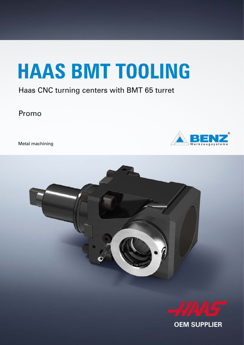# **HAAS BMT TOOLING**

#### Haas CNC turning centers with BMT 65 turret

Promo

Metal machining







**OEM SUPPLIER**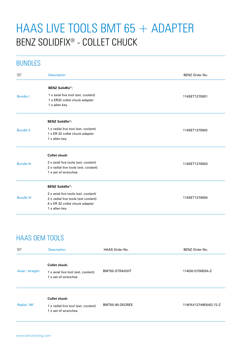## HAAS LIVE TOOLS BMT 65 + ADAPTER BENZ SOLIDFIX® - COLLET CHUCK

#### BUNDLES

| <b>BENZ Solidfix®:</b><br>1 x axial live tool (ext. coolant)<br><b>Bundle I</b><br>114SET1270001<br>1 x ER32 collet chuck adapter<br>1 x allen key<br><b>BENZ Solidfix<sup>®</sup>:</b><br>1 x radial live tool (ext. coolant)<br><b>Bundle II</b><br>114SET1270002<br>1 x ER 32 collet chuck adapter<br>1 x allen key<br><b>Collet chuck:</b><br>2 x axial live tools (ext. coolant)<br><b>Bundle III</b><br>114SET1270003<br>2 x radial live tools (ext. coolant)<br>1 x set of wrenches<br><b>BENZ Solidfix®:</b><br>2 x axial live tools (ext. coolant)<br><b>Bundle IV</b><br>114SET1270004<br>2 x radial live tools (ext coolant)<br>4 x ER 32 collet chuck adapter<br>1 x allen key | <b>SET</b> | <b>Description</b> | BENZ Order No. |
|--------------------------------------------------------------------------------------------------------------------------------------------------------------------------------------------------------------------------------------------------------------------------------------------------------------------------------------------------------------------------------------------------------------------------------------------------------------------------------------------------------------------------------------------------------------------------------------------------------------------------------------------------------------------------------------------|------------|--------------------|----------------|
|                                                                                                                                                                                                                                                                                                                                                                                                                                                                                                                                                                                                                                                                                            |            |                    |                |
|                                                                                                                                                                                                                                                                                                                                                                                                                                                                                                                                                                                                                                                                                            |            |                    |                |
|                                                                                                                                                                                                                                                                                                                                                                                                                                                                                                                                                                                                                                                                                            |            |                    |                |
|                                                                                                                                                                                                                                                                                                                                                                                                                                                                                                                                                                                                                                                                                            |            |                    |                |
|                                                                                                                                                                                                                                                                                                                                                                                                                                                                                                                                                                                                                                                                                            |            |                    |                |
|                                                                                                                                                                                                                                                                                                                                                                                                                                                                                                                                                                                                                                                                                            |            |                    |                |
|                                                                                                                                                                                                                                                                                                                                                                                                                                                                                                                                                                                                                                                                                            |            |                    |                |
|                                                                                                                                                                                                                                                                                                                                                                                                                                                                                                                                                                                                                                                                                            |            |                    |                |
|                                                                                                                                                                                                                                                                                                                                                                                                                                                                                                                                                                                                                                                                                            |            |                    |                |
|                                                                                                                                                                                                                                                                                                                                                                                                                                                                                                                                                                                                                                                                                            |            |                    |                |
|                                                                                                                                                                                                                                                                                                                                                                                                                                                                                                                                                                                                                                                                                            |            |                    |                |
|                                                                                                                                                                                                                                                                                                                                                                                                                                                                                                                                                                                                                                                                                            |            |                    |                |
|                                                                                                                                                                                                                                                                                                                                                                                                                                                                                                                                                                                                                                                                                            |            |                    |                |
|                                                                                                                                                                                                                                                                                                                                                                                                                                                                                                                                                                                                                                                                                            |            |                    |                |
|                                                                                                                                                                                                                                                                                                                                                                                                                                                                                                                                                                                                                                                                                            |            |                    |                |
|                                                                                                                                                                                                                                                                                                                                                                                                                                                                                                                                                                                                                                                                                            |            |                    |                |
|                                                                                                                                                                                                                                                                                                                                                                                                                                                                                                                                                                                                                                                                                            |            |                    |                |

### HAAS OEM TOOLS

| <b>SET</b>       | <b>Description</b>                                                                 | HAAS Order No.  | BENZ Order No.       |
|------------------|------------------------------------------------------------------------------------|-----------------|----------------------|
| Axial / straight | <b>Collet chuck:</b><br>1 x axial live tool (ext. coolant)<br>1 x set of wrenches  | BMT65-STRAIGHT  | 114DA12700E6A-Z      |
| Radial / 90°     | <b>Collet chuck:</b><br>1 x radial live tool (ext. coolant)<br>1 x set of wrenches | BMT65-90-DEGREE | 114FAX12749E6AD-72-Z |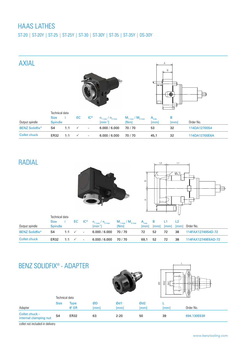#### HAAS LATHES

ST-20 | ST-20Y | ST-25 | ST-25Y | ST-30 | ST-30Y | ST-35 | ST-35Y | DS-30Y



#### RADIAL





|                       | Technical data |     |                                 |        |                                                                            |             |             |             |                    |                    |                    |
|-----------------------|----------------|-----|---------------------------------|--------|----------------------------------------------------------------------------|-------------|-------------|-------------|--------------------|--------------------|--------------------|
|                       | Size i         |     |                                 |        | $EC$ $IC^*$ $n_{1 \max} / n_{2 \max}$ $M_{1 \max} / M_{2 \max}$ $A_{\max}$ |             |             | B           | - L1               |                    |                    |
| Output spindle        | <b>Spindle</b> |     |                                 |        | $\text{fmin-1}$                                                            | <b>INml</b> | <i>Imml</i> | <i>Imml</i> | $\lceil mm \rceil$ | $\lceil mm \rceil$ | Order No.          |
| <b>BENZ Solidfix®</b> | S4             |     | 1:1 $\checkmark$ -              |        | $6.000 / 6.000$ 70 / 70                                                    |             | 72          | 52          | 72                 | 38                 | 114FAX12749S4D-72  |
| Collet chuck          | ER32           | 1:1 | $\cdot$ $\cdot$ $\cdot$ $\cdot$ | $\sim$ | $6.000 / 6.000$ 70 / 70                                                    |             | 69,1        | 52          | 72                 | 38                 | 114FAX12749E6AD-72 |

#### BENZ SOLIDFIX® - ADAPTER





|                                         | Technical data |              |    |          |                 | чu. |             |
|-----------------------------------------|----------------|--------------|----|----------|-----------------|-----|-------------|
|                                         | <b>Size</b>    | <b>Type</b>  | ØD | Ød1      | Ød <sub>2</sub> |     |             |
| Adapter                                 |                | $8^\circ$ ER | mm | mm       | mml             | lmm | Order No.   |
| Collet chuck -<br>internal clamping nut | S4             | <b>ER32</b>  | 63 | $2 - 20$ | 50              | 39  | 694.130E639 |

collet not included in delivery